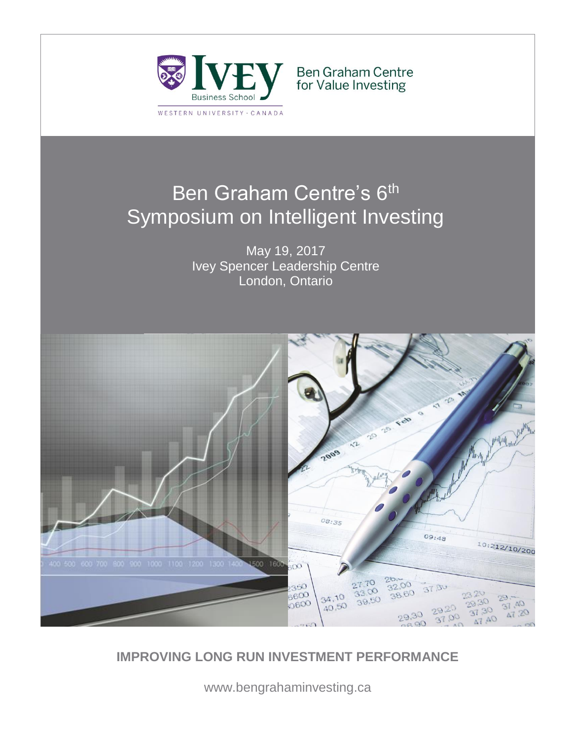

Ben Graham Centre<br>for Value Investing

# Ben Graham Centre's 6<sup>th</sup> Symposium on Intelligent Investing

May 19, 2017 Ivey Spencer Leadership Centre London, Ontario



### **IMPROVING LONG RUN INVESTMENT PERFORMANCE**

www.bengrahaminvesting.ca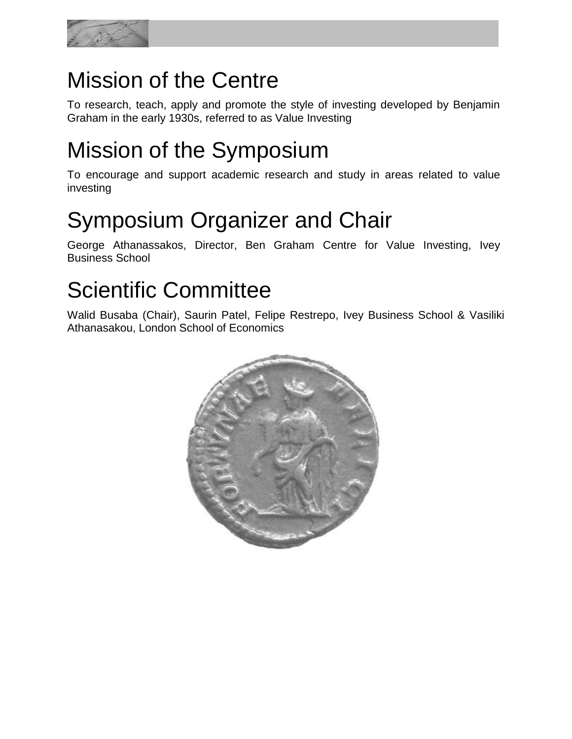

# Mission of the Centre

To research, teach, apply and promote the style of investing developed by Benjamin Graham in the early 1930s, referred to as Value Investing

# Mission of the Symposium

To encourage and support academic research and study in areas related to value investing

# Symposium Organizer and Chair

George Athanassakos, Director, Ben Graham Centre for Value Investing, Ivey Business School

# Scientific Committee

Walid Busaba (Chair), Saurin Patel, Felipe Restrepo, Ivey Business School & Vasiliki Athanasakou, London School of Economics

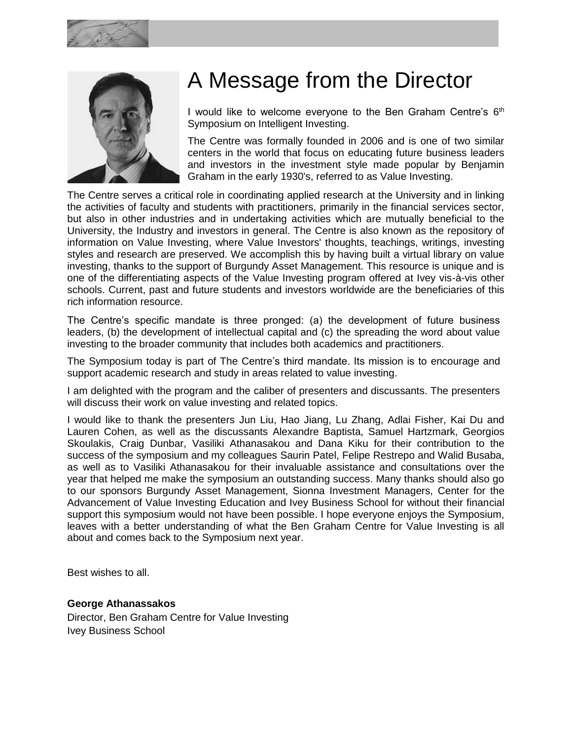



# A Message from the Director

I would like to welcome everyone to the Ben Graham Centre's 6<sup>th</sup> Symposium on Intelligent Investing.

The Centre was formally founded in 2006 and is one of two similar centers in the world that focus on educating future business leaders and investors in the investment style made popular by Benjamin Graham in the early 1930's, referred to as Value Investing.

The Centre serves a critical role in coordinating applied research at the University and in linking the activities of faculty and students with practitioners, primarily in the financial services sector, but also in other industries and in undertaking activities which are mutually beneficial to the University, the Industry and investors in general. The Centre is also known as the repository of information on Value Investing, where Value Investors' thoughts, teachings, writings, investing styles and research are preserved. We accomplish this by having built a virtual library on value investing, thanks to the support of Burgundy Asset Management. This resource is unique and is one of the differentiating aspects of the Value Investing program offered at Ivey vis-à-vis other schools. Current, past and future students and investors worldwide are the beneficiaries of this rich information resource.

The Centre's specific mandate is three pronged: (a) the development of future business leaders, (b) the development of intellectual capital and (c) the spreading the word about value investing to the broader community that includes both academics and practitioners.

The Symposium today is part of The Centre's third mandate. Its mission is to encourage and support academic research and study in areas related to value investing.

I am delighted with the program and the caliber of presenters and discussants. The presenters will discuss their work on value investing and related topics.

I would like to thank the presenters Jun Liu, Hao Jiang, Lu Zhang, Adlai Fisher, Kai Du and Lauren Cohen, as well as the discussants Alexandre Baptista, Samuel Hartzmark, Georgios Skoulakis, Craig Dunbar, Vasiliki Athanasakou and Dana Kiku for their contribution to the success of the symposium and my colleagues Saurin Patel, Felipe Restrepo and Walid Busaba, as well as to Vasiliki Athanasakou for their invaluable assistance and consultations over the year that helped me make the symposium an outstanding success. Many thanks should also go to our sponsors Burgundy Asset Management, Sionna Investment Managers, Center for the Advancement of Value Investing Education and Ivey Business School for without their financial support this symposium would not have been possible. I hope everyone enjoys the Symposium, leaves with a better understanding of what the Ben Graham Centre for Value Investing is all about and comes back to the Symposium next year.

Best wishes to all.

#### **George Athanassakos**

Director, Ben Graham Centre for Value Investing Ivey Business School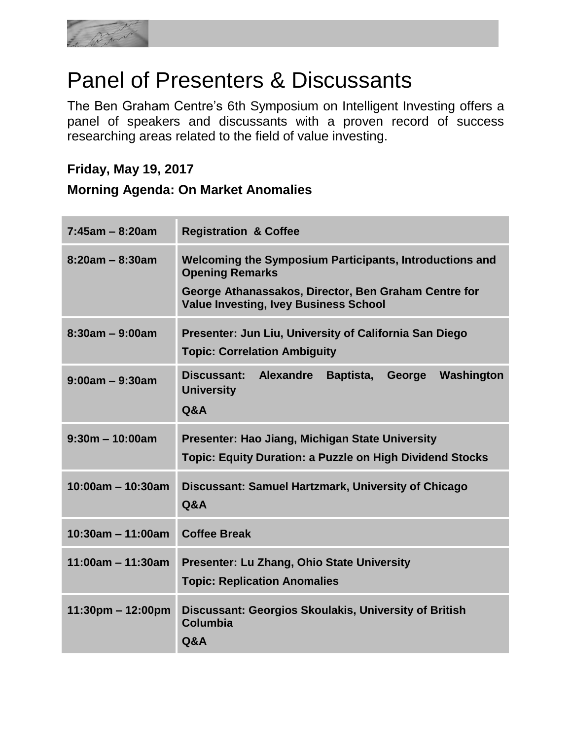

### Panel of Presenters & Discussants

The Ben Graham Centre's 6th Symposium on Intelligent Investing offers a panel of speakers and discussants with a proven record of success researching areas related to the field of value investing.

### **Friday, May 19, 2017**

### **Morning Agenda: On Market Anomalies**

| $7:45$ am - 8:20am                  | <b>Registration &amp; Coffee</b>                                                                                                                                                          |
|-------------------------------------|-------------------------------------------------------------------------------------------------------------------------------------------------------------------------------------------|
| $8:20am - 8:30am$                   | Welcoming the Symposium Participants, Introductions and<br><b>Opening Remarks</b><br>George Athanassakos, Director, Ben Graham Centre for<br><b>Value Investing, Ivey Business School</b> |
| $8:30am - 9:00am$                   | Presenter: Jun Liu, University of California San Diego<br><b>Topic: Correlation Ambiguity</b>                                                                                             |
| $9:00am - 9:30am$                   | Discussant:<br><b>Alexandre</b><br>Baptista,<br>Washington<br>George<br><b>University</b><br><b>Q&amp;A</b>                                                                               |
| $9:30m - 10:00am$                   | Presenter: Hao Jiang, Michigan State University<br><b>Topic: Equity Duration: a Puzzle on High Dividend Stocks</b>                                                                        |
| $10:00am - 10:30am$                 | Discussant: Samuel Hartzmark, University of Chicago<br><b>Q&amp;A</b>                                                                                                                     |
| $10:30$ am - 11:00am                | <b>Coffee Break</b>                                                                                                                                                                       |
| $11:00am - 11:30am$                 | Presenter: Lu Zhang, Ohio State University<br><b>Topic: Replication Anomalies</b>                                                                                                         |
| $11:30 \text{pm} - 12:00 \text{pm}$ | Discussant: Georgios Skoulakis, University of British<br>Columbia<br><b>Q&amp;A</b>                                                                                                       |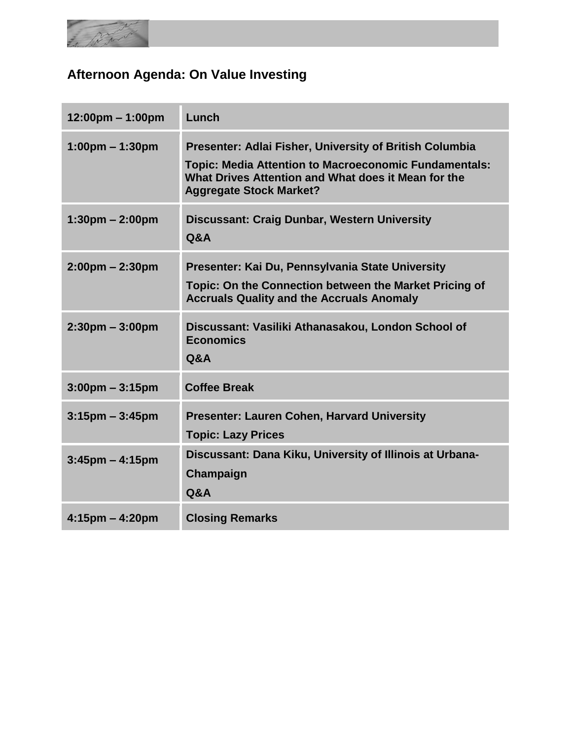

### **Afternoon Agenda: On Value Investing**

| $12:00 \text{pm} - 1:00 \text{pm}$ | Lunch                                                                                                                                                                                                                   |
|------------------------------------|-------------------------------------------------------------------------------------------------------------------------------------------------------------------------------------------------------------------------|
| $1:00 \text{pm} - 1:30 \text{pm}$  | <b>Presenter: Adlai Fisher, University of British Columbia</b><br><b>Topic: Media Attention to Macroeconomic Fundamentals:</b><br>What Drives Attention and What does it Mean for the<br><b>Aggregate Stock Market?</b> |
| $1:30 \text{pm} - 2:00 \text{pm}$  | Discussant: Craig Dunbar, Western University<br>Q&A                                                                                                                                                                     |
| $2:00 \text{pm} - 2:30 \text{pm}$  | Presenter: Kai Du, Pennsylvania State University<br>Topic: On the Connection between the Market Pricing of<br><b>Accruals Quality and the Accruals Anomaly</b>                                                          |
| $2:30 \text{pm} - 3:00 \text{pm}$  | Discussant: Vasiliki Athanasakou, London School of<br><b>Economics</b><br>Q&A                                                                                                                                           |
| $3:00 \text{pm} - 3:15 \text{pm}$  | <b>Coffee Break</b>                                                                                                                                                                                                     |
| $3:15$ pm – $3:45$ pm              | <b>Presenter: Lauren Cohen, Harvard University</b><br><b>Topic: Lazy Prices</b>                                                                                                                                         |
| $3:45$ pm $-4:15$ pm               | Discussant: Dana Kiku, University of Illinois at Urbana-<br>Champaign<br>Q&A                                                                                                                                            |
| $4:15$ pm $-4:20$ pm               | <b>Closing Remarks</b>                                                                                                                                                                                                  |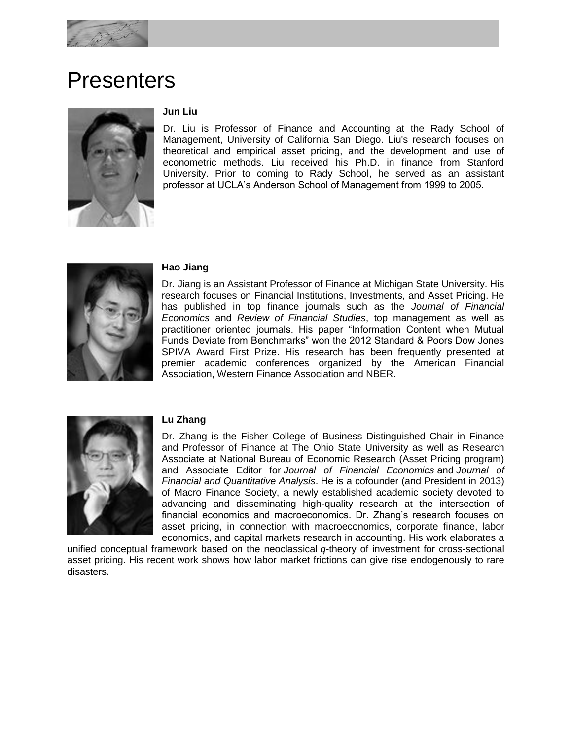

### Presenters



#### **Jun Liu**

Dr. Liu is Professor of Finance and Accounting at the Rady School of Management, University of California San Diego. Liu's research focuses on theoretical and empirical asset pricing, and the development and use of econometric methods. Liu received his Ph.D. in finance from Stanford University. Prior to coming to Rady School, he served as an assistant professor at UCLA's Anderson School of Management from 1999 to 2005.



#### **Hao Jiang**

Dr. Jiang is an Assistant Professor of Finance at Michigan State University. His research focuses on Financial Institutions, Investments, and Asset Pricing. He has published in top finance journals such as the *Journal of Financial Economics* and *Review of Financial Studies*, top management as well as practitioner oriented journals. His paper "Information Content when Mutual Funds Deviate from Benchmarks" won the 2012 Standard & Poors Dow Jones SPIVA Award First Prize. His research has been frequently presented at premier academic conferences organized by the American Financial Association, Western Finance Association and NBER.



#### **Lu Zhang**

Dr. Zhang is the Fisher College of Business Distinguished Chair in Finance and Professor of Finance at The Ohio State University as well as Research Associate at National Bureau of Economic Research (Asset Pricing program) and Associate Editor for *Journal of Financial Economics* and *Journal of Financial and Quantitative Analysis*. He is a cofounder (and President in 2013) of Macro Finance Society, a newly established academic society devoted to advancing and disseminating high-quality research at the intersection of financial economics and macroeconomics. Dr. Zhang's research focuses on asset pricing, in connection with macroeconomics, corporate finance, labor economics, and capital markets research in accounting. His work elaborates a

unified conceptual framework based on the neoclassical *q*-theory of investment for cross-sectional asset pricing. His recent work shows how labor market frictions can give rise endogenously to rare disasters.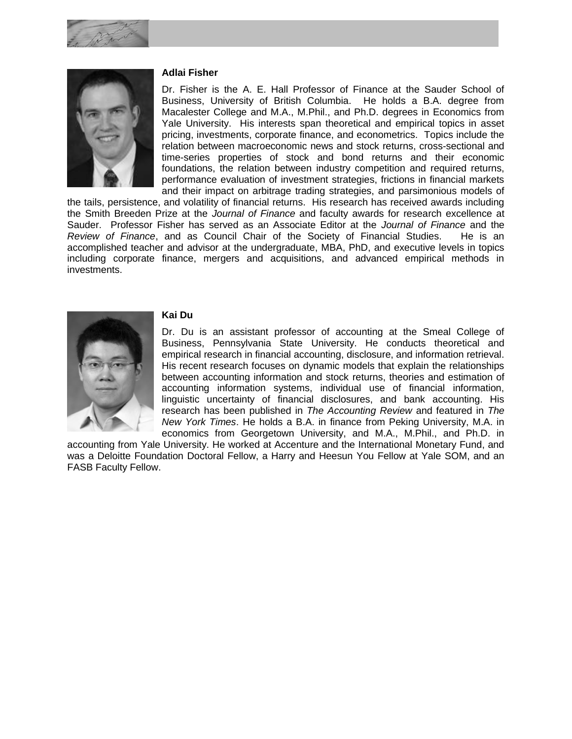



#### **Adlai Fisher**

Dr. Fisher is the A. E. Hall Professor of Finance at the Sauder School of Business, University of British Columbia. He holds a B.A. degree from Macalester College and M.A., M.Phil., and Ph.D. degrees in Economics from Yale University. His interests span theoretical and empirical topics in asset pricing, investments, corporate finance, and econometrics. Topics include the relation between macroeconomic news and stock returns, cross-sectional and time-series properties of stock and bond returns and their economic foundations, the relation between industry competition and required returns, performance evaluation of investment strategies, frictions in financial markets and their impact on arbitrage trading strategies, and parsimonious models of

the tails, persistence, and volatility of financial returns. His research has received awards including the Smith Breeden Prize at the *Journal of Finance* and faculty awards for research excellence at Sauder. Professor Fisher has served as an Associate Editor at the *Journal of Finance* and the *Review of Finance*, and as Council Chair of the Society of Financial Studies. He is an accomplished teacher and advisor at the undergraduate, MBA, PhD, and executive levels in topics including corporate finance, mergers and acquisitions, and advanced empirical methods in investments.



#### **Kai Du**

Dr. Du is an assistant professor of accounting at the Smeal College of Business, Pennsylvania State University. He conducts theoretical and empirical research in financial accounting, disclosure, and information retrieval. His recent research focuses on dynamic models that explain the relationships between accounting information and stock returns, theories and estimation of accounting information systems, individual use of financial information, linguistic uncertainty of financial disclosures, and bank accounting. His research has been published in *The Accounting Review* and featured in *The New York Times*. He holds a B.A. in finance from Peking University, M.A. in economics from Georgetown University, and M.A., M.Phil., and Ph.D. in

accounting from Yale University. He worked at Accenture and the International Monetary Fund, and was a Deloitte Foundation Doctoral Fellow, a Harry and Heesun You Fellow at Yale SOM, and an FASB Faculty Fellow.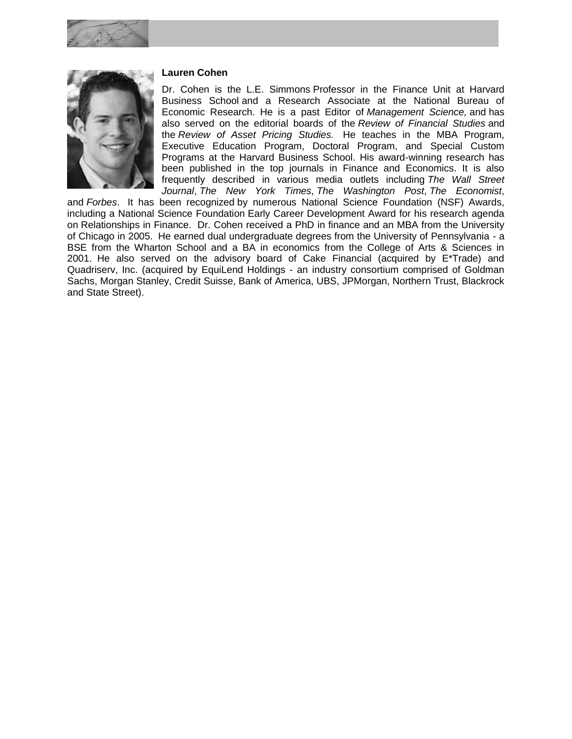



#### **Lauren Cohen**

Dr. Cohen is the L.E. Simmons Professor in the Finance Unit at Harvard Business School and a Research Associate at the National Bureau of Economic Research. He is a past Editor of *Management Science,* and has also served on the editorial boards of the *Review of Financial Studies* and the *Review of Asset Pricing Studies.* He teaches in the MBA Program, Executive Education Program, Doctoral Program, and Special Custom Programs at the Harvard Business School. His award-winning research has been published in the top journals in Finance and Economics. It is also frequently described in various media outlets including *The Wall Street Journal*, *The New York Times*, *The Washington Post*, *The Economist*,

and *Forbes*. It has been recognized by numerous National Science Foundation (NSF) Awards, including a National Science Foundation Early Career Development Award for his research agenda on Relationships in Finance. Dr. Cohen received a PhD in finance and an MBA from the University of Chicago in 2005. He earned dual undergraduate degrees from the University of Pennsylvania - a BSE from the Wharton School and a BA in economics from the College of Arts & Sciences in 2001. He also served on the advisory board of Cake Financial (acquired by E\*Trade) and Quadriserv, Inc. (acquired by EquiLend Holdings - an industry consortium comprised of Goldman Sachs, Morgan Stanley, Credit Suisse, Bank of America, UBS, JPMorgan, Northern Trust, Blackrock and State Street).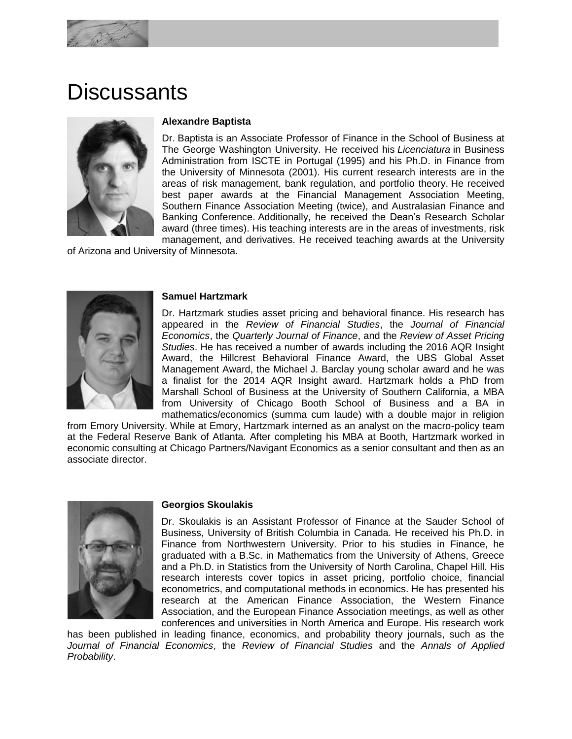

### **Discussants**



#### **Alexandre Baptista**

Dr. Baptista is an Associate Professor of Finance in the School of Business at The George Washington University. He received his *Licenciatura* in Business Administration from ISCTE in Portugal (1995) and his Ph.D. in Finance from the University of Minnesota (2001). His current research interests are in the areas of risk management, bank regulation, and portfolio theory. He received best paper awards at the Financial Management Association Meeting, Southern Finance Association Meeting (twice), and Australasian Finance and Banking Conference. Additionally, he received the Dean's Research Scholar award (three times). His teaching interests are in the areas of investments, risk management, and derivatives. He received teaching awards at the University

of Arizona and University of Minnesota.



#### **Samuel Hartzmark**

Dr. Hartzmark studies asset pricing and behavioral finance. His research has appeared in the *Review of Financial Studies*, the *Journal of Financial Economics*, the *Quarterly Journal of Finance*, and the *Review of Asset Pricing Studies*. He has received a number of awards including the 2016 AQR Insight Award, the Hillcrest Behavioral Finance Award, the UBS Global Asset Management Award, the Michael J. Barclay young scholar award and he was a finalist for the 2014 AQR Insight award. Hartzmark holds a PhD from Marshall School of Business at the University of Southern California, a MBA from University of Chicago Booth School of Business and a BA in mathematics/economics (summa cum laude) with a double major in religion

from Emory University. While at Emory, Hartzmark interned as an analyst on the macro-policy team at the Federal Reserve Bank of Atlanta. After completing his MBA at Booth, Hartzmark worked in economic consulting at Chicago Partners/Navigant Economics as a senior consultant and then as an associate director.



#### **Georgios Skoulakis**

Dr. Skoulakis is an Assistant Professor of Finance at the Sauder School of Business, University of British Columbia in Canada. He received his Ph.D. in Finance from Northwestern University. Prior to his studies in Finance, he graduated with a B.Sc. in Mathematics from the University of Athens, Greece and a Ph.D. in Statistics from the University of North Carolina, Chapel Hill. His research interests cover topics in asset pricing, portfolio choice, financial econometrics, and computational methods in economics. He has presented his research at the American Finance Association, the Western Finance Association, and the European Finance Association meetings, as well as other conferences and universities in North America and Europe. His research work

has been published in leading finance, economics, and probability theory journals, such as the *Journal of Financial Economics*, the *Review of Financial Studies* and the *Annals of Applied Probability*.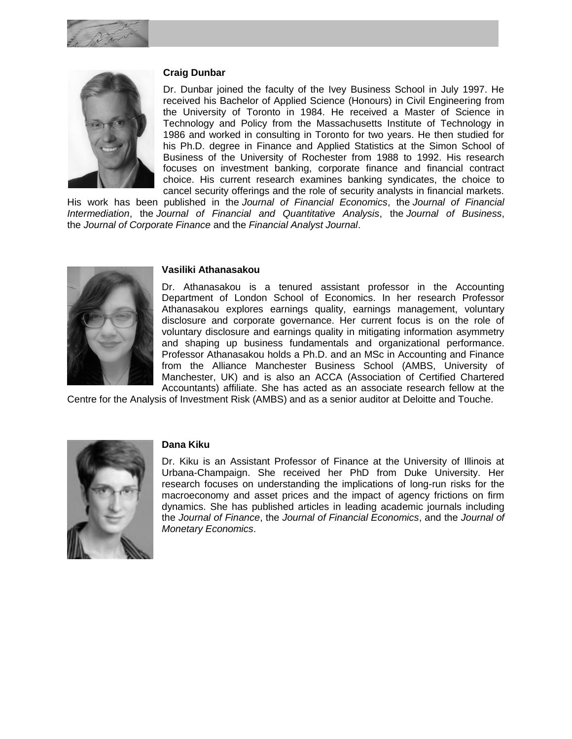



#### **Craig Dunbar**

Dr. Dunbar joined the faculty of the Ivey Business School in July 1997. He received his Bachelor of Applied Science (Honours) in Civil Engineering from the University of Toronto in 1984. He received a Master of Science in Technology and Policy from the Massachusetts Institute of Technology in 1986 and worked in consulting in Toronto for two years. He then studied for his Ph.D. degree in Finance and Applied Statistics at the Simon School of Business of the University of Rochester from 1988 to 1992. His research focuses on investment banking, corporate finance and financial contract choice. His current research examines banking syndicates, the choice to cancel security offerings and the role of security analysts in financial markets.

His work has been published in the *Journal of Financial Economics*, the *Journal of Financial Intermediation*, the *Journal of Financial and Quantitative Analysis*, the *Journal of Business*, the *Journal of Corporate Finance* and the *Financial Analyst Journal*.



#### **Vasiliki Athanasakou**

Dr. Athanasakou is a tenured assistant professor in the Accounting Department of London School of Economics. In her research Professor Athanasakou explores earnings quality, earnings management, voluntary disclosure and corporate governance. Her current focus is on the role of voluntary disclosure and earnings quality in mitigating information asymmetry and shaping up business fundamentals and organizational performance. Professor Athanasakou holds a Ph.D. and an MSc in Accounting and Finance from the Alliance Manchester Business School (AMBS, University of Manchester, UK) and is also an ACCA (Association of Certified Chartered Accountants) affiliate. She has acted as an associate research fellow at the

Centre for the Analysis of Investment Risk (AMBS) and as a senior auditor at Deloitte and Touche.



#### **Dana Kiku**

Dr. Kiku is an Assistant Professor of Finance at the University of Illinois at Urbana-Champaign. She received her PhD from Duke University. Her research focuses on understanding the implications of long-run risks for the macroeconomy and asset prices and the impact of agency frictions on firm dynamics. She has published articles in leading academic journals including the *Journal of Finance*, the *Journal of Financial Economics*, and the *Journal of Monetary Economics*.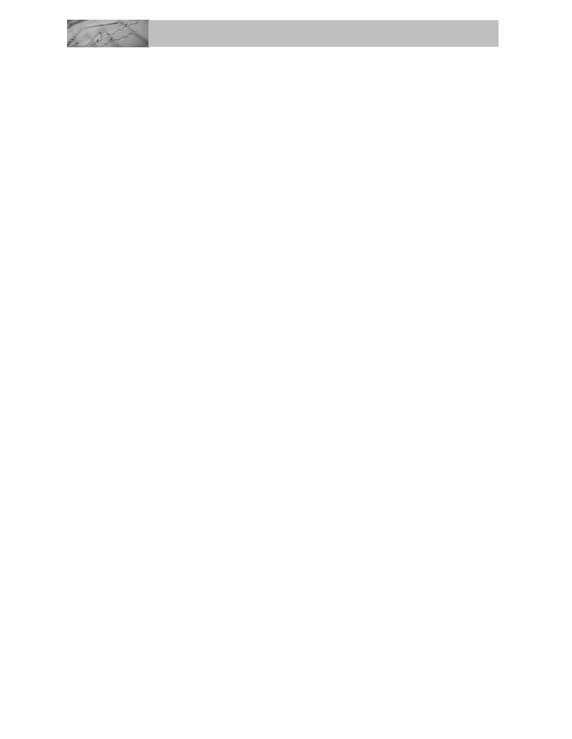